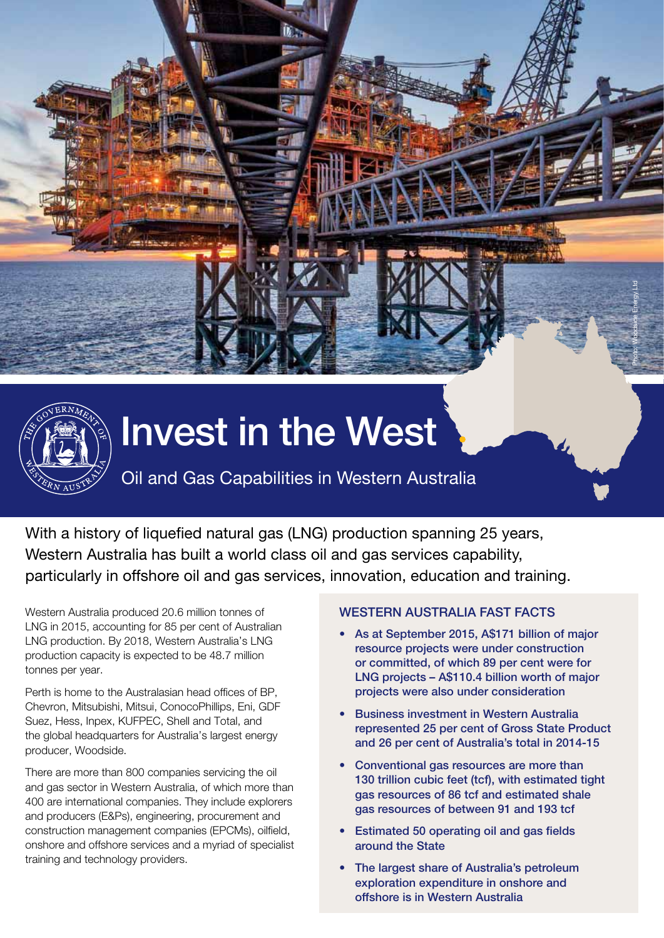

# Invest in the West

Oil and Gas Capabilities in Western Australia

With a history of liquefied natural gas (LNG) production spanning 25 years, Western Australia has built a world class oil and gas services capability, particularly in offshore oil and gas services, innovation, education and training.

Western Australia produced 20.6 million tonnes of LNG in 2015, accounting for 85 per cent of Australian LNG production. By 2018, Western Australia's LNG production capacity is expected to be 48.7 million tonnes per year.

Perth is home to the Australasian head offices of BP, Chevron, Mitsubishi, Mitsui, ConocoPhillips, Eni, GDF Suez, Hess, Inpex, KUFPEC, Shell and Total, and the global headquarters for Australia's largest energy producer, Woodside.

There are more than 800 companies servicing the oil and gas sector in Western Australia, of which more than 400 are international companies. They include explorers and producers (E&Ps), engineering, procurement and construction management companies (EPCMs), oilfield, onshore and offshore services and a myriad of specialist training and technology providers.

#### Western Australia Fast Facts

• As at September 2015, A\$171 billion of major resource projects were under construction or committed, of which 89 per cent were for LNG projects – A\$110.4 billion worth of major projects were also under consideration

Photo: Woodside Energy Ltd

- **Business investment in Western Australia** represented 25 per cent of Gross State Product and 26 per cent of Australia's total in 2014-15
- Conventional gas resources are more than 130 trillion cubic feet (tcf), with estimated tight gas resources of 86 tcf and estimated shale gas resources of between 91 and 193 tcf
- • Estimated 50 operating oil and gas fields around the State
- The largest share of Australia's petroleum exploration expenditure in onshore and offshore is in Western Australia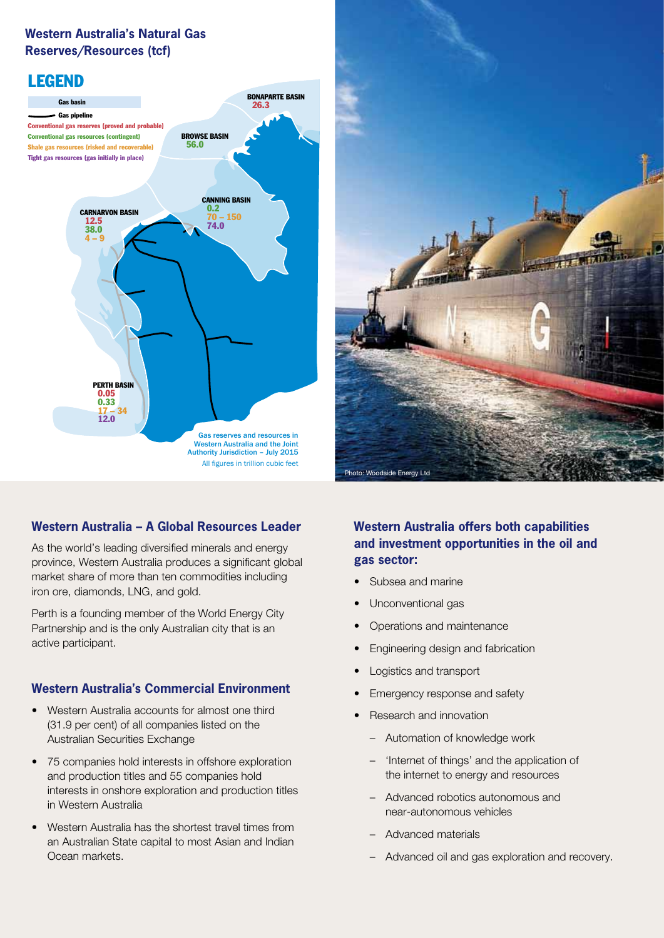# **Western Australia's Natural Gas Reserves/Resources (tcf)**





## **Western Australia – A Global Resources Leader**

As the world's leading diversified minerals and energy province, Western Australia produces a significant global market share of more than ten commodities including iron ore, diamonds, LNG, and gold.

Perth is a founding member of the World Energy City Partnership and is the only Australian city that is an active participant.

#### **Western Australia's Commercial Environment**

- Western Australia accounts for almost one third (31.9 per cent) of all companies listed on the Australian Securities Exchange
- 75 companies hold interests in offshore exploration and production titles and 55 companies hold interests in onshore exploration and production titles in Western Australia
- Western Australia has the shortest travel times from an Australian State capital to most Asian and Indian Ocean markets.

### **Western Australia offers both capabilities and investment opportunities in the oil and gas sector:**

- Subsea and marine
- Unconventional gas
- Operations and maintenance
- Engineering design and fabrication
- Logistics and transport
- Emergency response and safety
- Research and innovation
	- Automation of knowledge work
	- 'Internet of things' and the application of the internet to energy and resources
	- Advanced robotics autonomous and near-autonomous vehicles
	- Advanced materials
	- Advanced oil and gas exploration and recovery.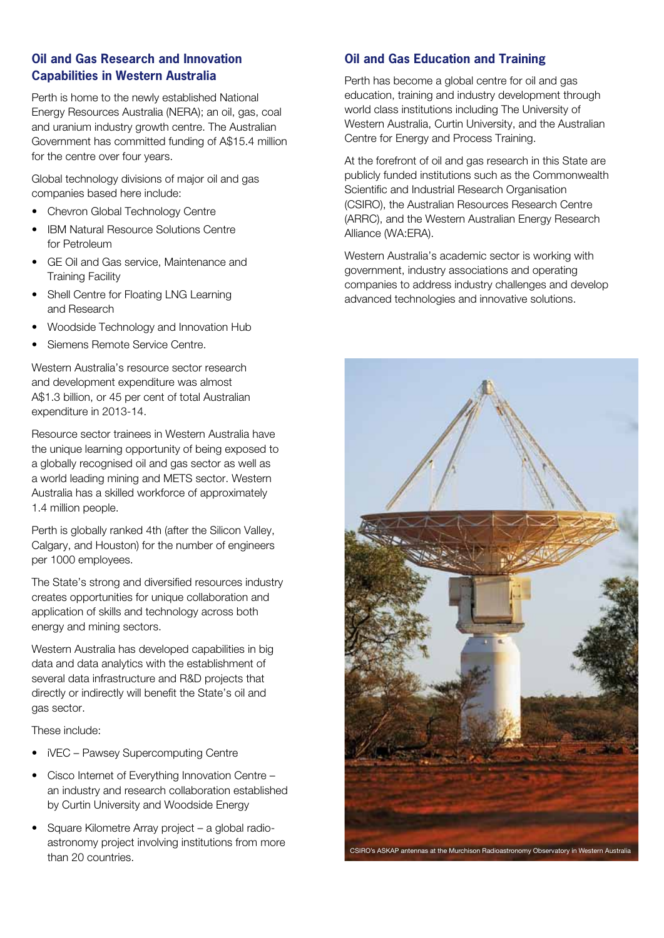#### **Oil and Gas Research and Innovation Capabilities in Western Australia**

Perth is home to the newly established National Energy Resources Australia (NERA); an oil, gas, coal and uranium industry growth centre. The Australian Government has committed funding of A\$15.4 million for the centre over four years.

Global technology divisions of major oil and gas companies based here include:

- Chevron Global Technology Centre
- **IBM Natural Resource Solutions Centre** for Petroleum
- GE Oil and Gas service, Maintenance and Training Facility
- Shell Centre for Floating LNG Learning and Research
- Woodside Technology and Innovation Hub
- Siemens Remote Service Centre.

Western Australia's resource sector research and development expenditure was almost A\$1.3 billion, or 45 per cent of total Australian expenditure in 2013-14.

Resource sector trainees in Western Australia have the unique learning opportunity of being exposed to a globally recognised oil and gas sector as well as a world leading mining and METS sector. Western Australia has a skilled workforce of approximately 1.4 million people.

Perth is globally ranked 4th (after the Silicon Valley, Calgary, and Houston) for the number of engineers per 1000 employees.

The State's strong and diversified resources industry creates opportunities for unique collaboration and application of skills and technology across both energy and mining sectors.

Western Australia has developed capabilities in big data and data analytics with the establishment of several data infrastructure and R&D projects that directly or indirectly will benefit the State's oil and gas sector.

These include:

- iVEC Pawsey Supercomputing Centre
- Cisco Internet of Everything Innovation Centre an industry and research collaboration established by Curtin University and Woodside Energy
- Square Kilometre Array project a global radioastronomy project involving institutions from more than 20 countries.

# **Oil and Gas Education and Training**

Perth has become a global centre for oil and gas education, training and industry development through world class institutions including The University of Western Australia, Curtin University, and the Australian Centre for Energy and Process Training.

At the forefront of oil and gas research in this State are publicly funded institutions such as the Commonwealth Scientific and Industrial Research Organisation (CSIRO), the Australian Resources Research Centre (ARRC), and the Western Australian Energy Research Alliance (WA:ERA).

Western Australia's academic sector is working with government, industry associations and operating companies to address industry challenges and develop advanced technologies and innovative solutions.